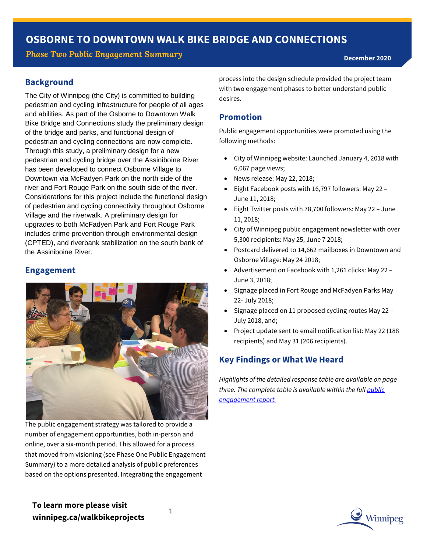**Phase Two Public Engagement Summary December 2020** 

The City of Winnipeg (the City) is committed to building pedestrian and cycling infrastructure for people of all ages and abilities. As part of the Osborne to Downtown Walk Bike Bridge and Connections study the preliminary design of the bridge and parks, and functional design of pedestrian and cycling connections are now complete. Through this study, a preliminary design for a new pedestrian and cycling bridge over the Assiniboine River has been developed to connect Osborne Village to Downtown via McFadyen Park on the north side of the river and Fort Rouge Park on the south side of the river. Considerations for this project include the functional design of pedestrian and cycling connectivity throughout Osborne Village and the riverwalk. A preliminary design for upgrades to both McFadyen Park and Fort Rouge Park includes crime prevention through environmental design (CPTED), and riverbank stabilization on the south bank of the Assiniboine River.

#### **Engagement**



The public engagement strategy was tailored to provide a number of engagement opportunities, both in-person and online, over a six-month period. This allowed for a process that moved from visioning (see Phase One Public Engagement Summary) to a more detailed analysis of public preferences based on the options presented. Integrating the engagement

process into the design schedule provided the project team with two engagement phases to better understand public desires.

#### **Promotion**

Public engagement opportunities were promoted using the following methods:

- City of Winnipeg website: Launched January 4, 2018 with 6,067 page views;
- News release: May 22, 2018;
- Eight Facebook posts with 16,797 followers: May 22 June 11, 2018;
- Eight Twitter posts with 78,700 followers: May 22 June 11, 2018;
- City of Winnipeg public engagement newsletter with over 5,300 recipients: May 25, June 7 2018;
- Postcard delivered to 14,662 mailboxes in Downtown and Osborne Village: May 24 2018;
- Advertisement on Facebook with 1,261 clicks: May 22 June 3, 2018;
- Signage placed in Fort Rouge and McFadyen Parks May 22- July 2018;
- Signage placed on 11 proposed cycling routes May 22 July 2018, and;
- Project update sent to email notification list: May 22 (188 recipients) and May 31 (206 recipients).

#### **Key Findings or What We Heard**

*Highlights of the detailed response table are available on page three. The complete table is available within the ful[l public](https://winnipeg.ca/publicworks/pedestriansCycling/walkBikeProjects/OsborneToDowntownWalkBikeBridge.stm#tab-documents)  [engagement report.](https://winnipeg.ca/publicworks/pedestriansCycling/walkBikeProjects/OsborneToDowntownWalkBikeBridge.stm#tab-documents)*

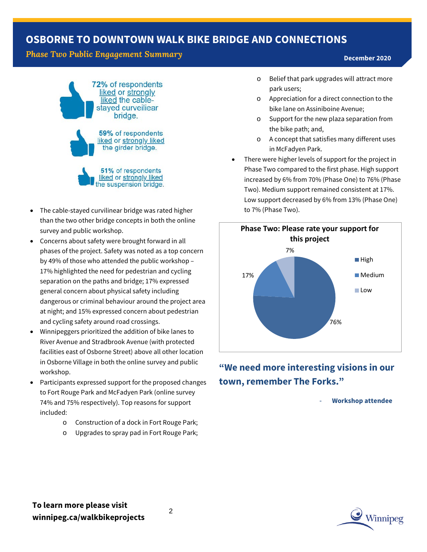#### *Phase Two Public Engagement Summary* **December <sup>2020</sup>**



- The cable-stayed curvilinear bridge was rated higher than the two other bridge concepts in both the online survey and public workshop.
- Concerns about safety were brought forward in all phases of the project. Safety was noted as a top concern by 49% of those who attended the public workshop – 17% highlighted the need for pedestrian and cycling separation on the paths and bridge; 17% expressed general concern about physical safety including dangerous or criminal behaviour around the project area at night; and 15% expressed concern about pedestrian and cycling safety around road crossings.
- Winnipeggers prioritized the addition of bike lanes to River Avenue and Stradbrook Avenue (with protected facilities east of Osborne Street) above all other location in Osborne Village in both the online survey and public workshop.
- Participants expressed support for the proposed changes to Fort Rouge Park and McFadyen Park (online survey 74% and 75% respectively). Top reasons for support included:
	- o Construction of a dock in Fort Rouge Park;
	- o Upgrades to spray pad in Fort Rouge Park;
- o Belief that park upgrades will attract more park users;
- o Appreciation for a direct connection to the bike lane on Assiniboine Avenue;
- o Support for the new plaza separation from the bike path; and,
- o A concept that satisfies many different uses in McFadyen Park.
- There were higher levels of support for the project in Phase Two compared to the first phase. High support increased by 6% from 70% (Phase One) to 76% (Phase Two). Medium support remained consistent at 17%. Low support decreased by 6% from 13% (Phase One) to 7% (Phase Two).



# **"We need more interesting visions in our town, remember The Forks."**

- **Workshop attendee**

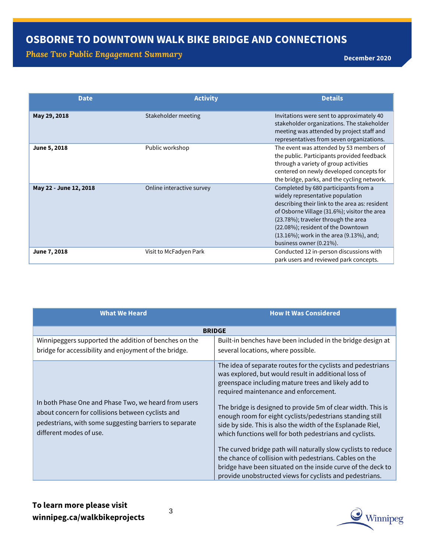# **Phase Two Public Engagement Summary** *Phase Two Public Engagement Summary*

| <b>Date</b>            | <b>Activity</b>           | <b>Details</b>                                                                                                                                                                                                                                                                                                                         |
|------------------------|---------------------------|----------------------------------------------------------------------------------------------------------------------------------------------------------------------------------------------------------------------------------------------------------------------------------------------------------------------------------------|
| May 29, 2018           | Stakeholder meeting       | Invitations were sent to approximately 40<br>stakeholder organizations. The stakeholder<br>meeting was attended by project staff and<br>representatives from seven organizations.                                                                                                                                                      |
| June 5, 2018           | Public workshop           | The event was attended by 53 members of<br>the public. Participants provided feedback<br>through a variety of group activities<br>centered on newly developed concepts for<br>the bridge, parks, and the cycling network.                                                                                                              |
| May 22 - June 12, 2018 | Online interactive survey | Completed by 680 participants from a<br>widely representative population<br>describing their link to the area as: resident<br>of Osborne Village (31.6%); visitor the area<br>(23.78%); traveler through the area<br>(22.08%); resident of the Downtown<br>$(13.16\%)$ ; work in the area $(9.13\%)$ , and;<br>business owner (0.21%). |
| June 7, 2018           | Visit to McFadyen Park    | Conducted 12 in-person discussions with<br>park users and reviewed park concepts.                                                                                                                                                                                                                                                      |

| <b>What We Heard</b>                                                                                                                                                                           | <b>How It Was Considered</b>                                                                                                                                                                                                                                                                                                                                                                                                                                                                                                                                                                                                                                                                                                        |  |
|------------------------------------------------------------------------------------------------------------------------------------------------------------------------------------------------|-------------------------------------------------------------------------------------------------------------------------------------------------------------------------------------------------------------------------------------------------------------------------------------------------------------------------------------------------------------------------------------------------------------------------------------------------------------------------------------------------------------------------------------------------------------------------------------------------------------------------------------------------------------------------------------------------------------------------------------|--|
| <b>BRIDGE</b>                                                                                                                                                                                  |                                                                                                                                                                                                                                                                                                                                                                                                                                                                                                                                                                                                                                                                                                                                     |  |
| Winnipeggers supported the addition of benches on the                                                                                                                                          | Built-in benches have been included in the bridge design at                                                                                                                                                                                                                                                                                                                                                                                                                                                                                                                                                                                                                                                                         |  |
| bridge for accessibility and enjoyment of the bridge.                                                                                                                                          | several locations, where possible.                                                                                                                                                                                                                                                                                                                                                                                                                                                                                                                                                                                                                                                                                                  |  |
| In both Phase One and Phase Two, we heard from users<br>about concern for collisions between cyclists and<br>pedestrians, with some suggesting barriers to separate<br>different modes of use. | The idea of separate routes for the cyclists and pedestrians<br>was explored, but would result in additional loss of<br>greenspace including mature trees and likely add to<br>required maintenance and enforcement.<br>The bridge is designed to provide 5m of clear width. This is<br>enough room for eight cyclists/pedestrians standing still<br>side by side. This is also the width of the Esplanade Riel,<br>which functions well for both pedestrians and cyclists.<br>The curved bridge path will naturally slow cyclists to reduce<br>the chance of collision with pedestrians. Cables on the<br>bridge have been situated on the inside curve of the deck to<br>provide unobstructed views for cyclists and pedestrians. |  |



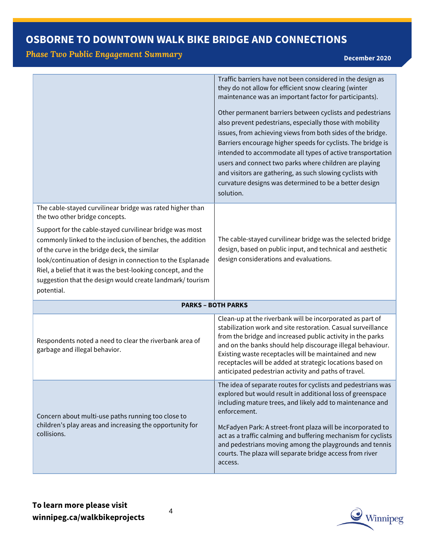# **Phase Two Public Engagement Summary December 2020 December** 2020

|                                                                                                                                                                                                                                                                                                                                                                                                                                                                              | Traffic barriers have not been considered in the design as<br>they do not allow for efficient snow clearing (winter<br>maintenance was an important factor for participants).<br>Other permanent barriers between cyclists and pedestrians<br>also prevent pedestrians, especially those with mobility<br>issues, from achieving views from both sides of the bridge.<br>Barriers encourage higher speeds for cyclists. The bridge is<br>intended to accommodate all types of active transportation<br>users and connect two parks where children are playing<br>and visitors are gathering, as such slowing cyclists with<br>curvature designs was determined to be a better design<br>solution. |  |  |
|------------------------------------------------------------------------------------------------------------------------------------------------------------------------------------------------------------------------------------------------------------------------------------------------------------------------------------------------------------------------------------------------------------------------------------------------------------------------------|---------------------------------------------------------------------------------------------------------------------------------------------------------------------------------------------------------------------------------------------------------------------------------------------------------------------------------------------------------------------------------------------------------------------------------------------------------------------------------------------------------------------------------------------------------------------------------------------------------------------------------------------------------------------------------------------------|--|--|
| The cable-stayed curvilinear bridge was rated higher than<br>the two other bridge concepts.<br>Support for the cable-stayed curvilinear bridge was most<br>commonly linked to the inclusion of benches, the addition<br>of the curve in the bridge deck, the similar<br>look/continuation of design in connection to the Esplanade<br>Riel, a belief that it was the best-looking concept, and the<br>suggestion that the design would create landmark/tourism<br>potential. | The cable-stayed curvilinear bridge was the selected bridge<br>design, based on public input, and technical and aesthetic<br>design considerations and evaluations.                                                                                                                                                                                                                                                                                                                                                                                                                                                                                                                               |  |  |
| <b>PARKS - BOTH PARKS</b>                                                                                                                                                                                                                                                                                                                                                                                                                                                    |                                                                                                                                                                                                                                                                                                                                                                                                                                                                                                                                                                                                                                                                                                   |  |  |
| Respondents noted a need to clear the riverbank area of<br>garbage and illegal behavior.                                                                                                                                                                                                                                                                                                                                                                                     | Clean-up at the riverbank will be incorporated as part of<br>stabilization work and site restoration. Casual surveillance<br>from the bridge and increased public activity in the parks<br>and on the banks should help discourage illegal behaviour.<br>Existing waste receptacles will be maintained and new<br>receptacles will be added at strategic locations based on<br>anticipated pedestrian activity and paths of travel.                                                                                                                                                                                                                                                               |  |  |
| Concern about multi-use paths running too close to<br>children's play areas and increasing the opportunity for<br>collisions.                                                                                                                                                                                                                                                                                                                                                | The idea of separate routes for cyclists and pedestrians was<br>explored but would result in additional loss of greenspace<br>including mature trees, and likely add to maintenance and<br>enforcement.<br>McFadyen Park: A street-front plaza will be incorporated to<br>act as a traffic calming and buffering mechanism for cyclists<br>and pedestrians moving among the playgrounds and tennis<br>courts. The plaza will separate bridge access from river<br>access.                                                                                                                                                                                                                         |  |  |



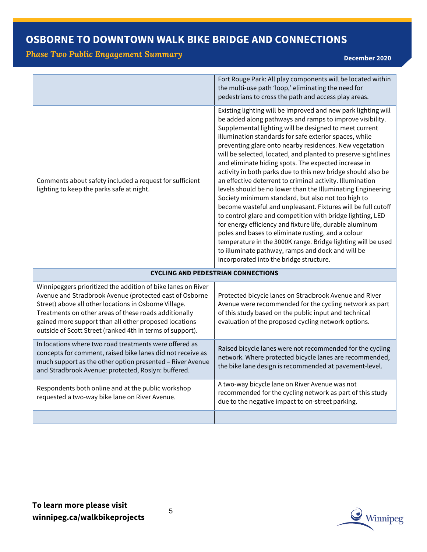# **Phase Two Public Engagement Summary** *Phase Two Public Engagement Summary*

|                                                                                                                                                                                                                                                                                                                                                                 | Fort Rouge Park: All play components will be located within<br>the multi-use path 'loop,' eliminating the need for<br>pedestrians to cross the path and access play areas.                                                                                                                                                                                                                                                                                                                                                                                                                                                                                                                                                                                                                                                                                                                                                                                                                                                                                                                          |  |
|-----------------------------------------------------------------------------------------------------------------------------------------------------------------------------------------------------------------------------------------------------------------------------------------------------------------------------------------------------------------|-----------------------------------------------------------------------------------------------------------------------------------------------------------------------------------------------------------------------------------------------------------------------------------------------------------------------------------------------------------------------------------------------------------------------------------------------------------------------------------------------------------------------------------------------------------------------------------------------------------------------------------------------------------------------------------------------------------------------------------------------------------------------------------------------------------------------------------------------------------------------------------------------------------------------------------------------------------------------------------------------------------------------------------------------------------------------------------------------------|--|
| Comments about safety included a request for sufficient<br>lighting to keep the parks safe at night.                                                                                                                                                                                                                                                            | Existing lighting will be improved and new park lighting will<br>be added along pathways and ramps to improve visibility.<br>Supplemental lighting will be designed to meet current<br>illumination standards for safe exterior spaces, while<br>preventing glare onto nearby residences. New vegetation<br>will be selected, located, and planted to preserve sightlines<br>and eliminate hiding spots. The expected increase in<br>activity in both parks due to this new bridge should also be<br>an effective deterrent to criminal activity. Illumination<br>levels should be no lower than the Illuminating Engineering<br>Society minimum standard, but also not too high to<br>become wasteful and unpleasant. Fixtures will be full cutoff<br>to control glare and competition with bridge lighting, LED<br>for energy efficiency and fixture life, durable aluminum<br>poles and bases to eliminate rusting, and a colour<br>temperature in the 3000K range. Bridge lighting will be used<br>to illuminate pathway, ramps and dock and will be<br>incorporated into the bridge structure. |  |
| <b>CYCLING AND PEDESTRIAN CONNECTIONS</b>                                                                                                                                                                                                                                                                                                                       |                                                                                                                                                                                                                                                                                                                                                                                                                                                                                                                                                                                                                                                                                                                                                                                                                                                                                                                                                                                                                                                                                                     |  |
| Winnipeggers prioritized the addition of bike lanes on River<br>Avenue and Stradbrook Avenue (protected east of Osborne<br>Street) above all other locations in Osborne Village.<br>Treatments on other areas of these roads additionally<br>gained more support than all other proposed locations<br>outside of Scott Street (ranked 4th in terms of support). | Protected bicycle lanes on Stradbrook Avenue and River<br>Avenue were recommended for the cycling network as part<br>of this study based on the public input and technical<br>evaluation of the proposed cycling network options.                                                                                                                                                                                                                                                                                                                                                                                                                                                                                                                                                                                                                                                                                                                                                                                                                                                                   |  |
| In locations where two road treatments were offered as<br>concepts for comment, raised bike lanes did not receive as<br>much support as the other option presented - River Avenue<br>and Stradbrook Avenue: protected, Roslyn: buffered.                                                                                                                        | Raised bicycle lanes were not recommended for the cycling<br>network. Where protected bicycle lanes are recommended,<br>the bike lane design is recommended at pavement-level.                                                                                                                                                                                                                                                                                                                                                                                                                                                                                                                                                                                                                                                                                                                                                                                                                                                                                                                      |  |
| Respondents both online and at the public workshop<br>requested a two-way bike lane on River Avenue.                                                                                                                                                                                                                                                            | A two-way bicycle lane on River Avenue was not<br>recommended for the cycling network as part of this study<br>due to the negative impact to on-street parking.                                                                                                                                                                                                                                                                                                                                                                                                                                                                                                                                                                                                                                                                                                                                                                                                                                                                                                                                     |  |
|                                                                                                                                                                                                                                                                                                                                                                 |                                                                                                                                                                                                                                                                                                                                                                                                                                                                                                                                                                                                                                                                                                                                                                                                                                                                                                                                                                                                                                                                                                     |  |